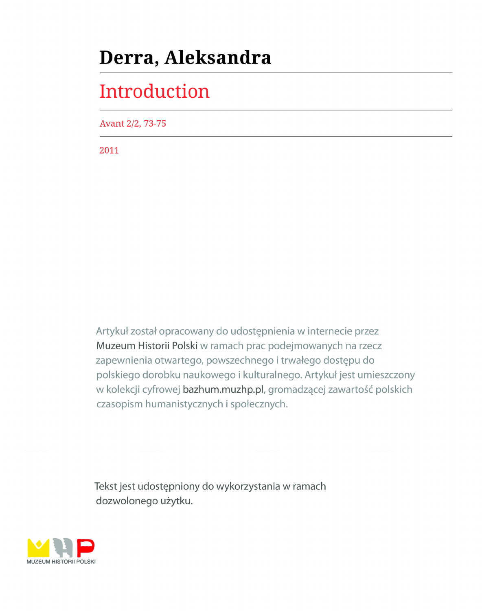## Derra, Aleksandra

# Introduction

Avant 2/2, 73-75

2011

Artykuł został opracowany do udostępnienia w internecie przez Muzeum Historii Polski w ramach prac podejmowanych na rzecz zapewnienia otwartego, powszechnego i trwałego dostępu do polskiego dorobku naukowego i kulturalnego. Artykuł jest umieszczony w kolekcji cyfrowej bazhum.muzhp.pl, gromadzącej zawartość polskich czasopism humanistycznych i społecznych.

Tekst jest udostępniony do wykorzystania w ramach dozwolonego użytku.

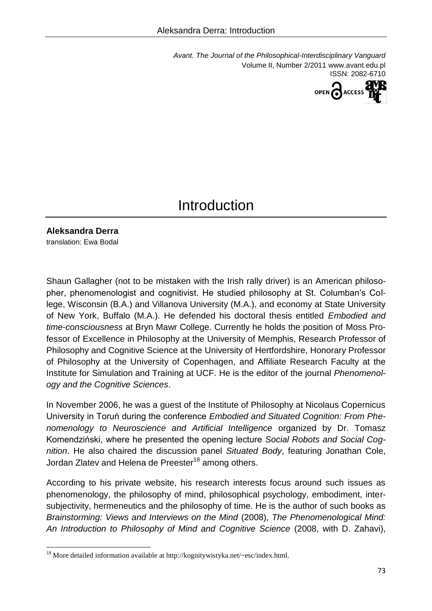*Avant. The Journal of the Philosophical-Interdisciplinary Vanguard* Volume II, Number 2/2011 www.avant.edu.pl ISSN: 2082-6710



### **Introduction**

**Aleksandra Derra**

translation: Ewa Bodal

l

Shaun Gallagher (not to be mistaken with the Irish rally driver) is an American philosopher, phenomenologist and cognitivist. He studied philosophy at St. Columban's College, Wisconsin (B.A.) and Villanova University (M.A.), and economy at State University of New York, Buffalo (M.A.). He defended his doctoral thesis entitled *Embodied and time-consciousness* at Bryn Mawr College. Currently he holds the position of Moss Professor of Excellence in Philosophy at the University of Memphis, Research Professor of Philosophy and Cognitive Science at the University of Hertfordshire, Honorary Professor of Philosophy at the University of Copenhagen, and Affiliate Research Faculty at the Institute for Simulation and Training at UCF. He is the editor of the journal *Phenomenology and the Cognitive Sciences*.

In November 2006, he was a guest of the Institute of Philosophy at Nicolaus Copernicus University in Toruń during the conference *Embodied and Situated Cognition: From Phenomenology to Neuroscience and Artificial Intelligence* organized by Dr. Tomasz Komendziński, where he presented the opening lecture *Social Robots and Social Cognition*. He also chaired the discussion panel *Situated Body*, featuring Jonathan Cole, Jordan Zlatev and Helena de Preester<sup>18</sup> among others.

According to his private website, his research interests focus around such issues as phenomenology, the philosophy of mind, philosophical psychology, embodiment, intersubjectivity, hermeneutics and the philosophy of time. He is the author of such books as *Brainstorming: Views and Interviews on the Mind* (2008), *The Phenomenological Mind: An Introduction to Philosophy of Mind and Cognitive Science* (2008, with D. Zahavi),

<sup>&</sup>lt;sup>18</sup> More detailed information available at [http://k](http://kognitywistyka.net/~esc/index.html)ognitywistyk[a.net/~esc/index.html.](http://kognitywistyka.net/~esc/index.html)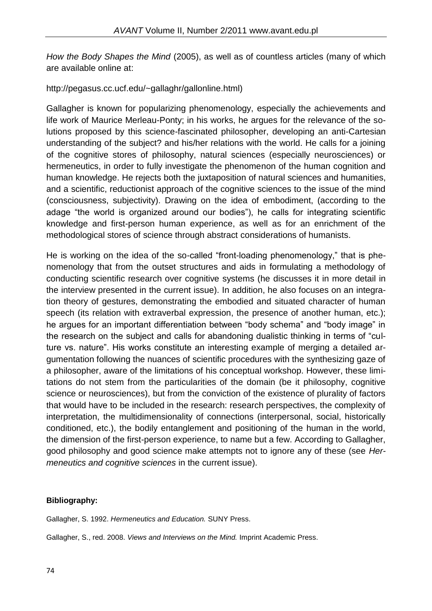*How the Body Shapes the Mind* (2005), as well as of countless articles (many of which are available online at:

### [http://pegasus.cc.ucf.e](http://pegasus.cc.ucf.edu/~gallaghr/gallonline.html)du/[~gallaghr/gallonline.html\)](http://pegasus.cc.ucf.edu/~gallaghr/gallonline.html)

Gallagher is known for popularizing phenomenology, especially the achievements and life work of Maurice Merleau-Ponty; in his works, he argues for the relevance of the solutions proposed by this science-fascinated philosopher, developing an anti-Cartesian understanding of the subject? and his/her relations with the world. He calls for a joining of the cognitive stores of philosophy, natural sciences (especially neurosciences) or hermeneutics, in order to fully investigate the phenomenon of the human cognition and human knowledge. He rejects both the juxtaposition of natural sciences and humanities, and a scientific, reductionist approach of the cognitive sciences to the issue of the mind (consciousness, subjectivity). Drawing on the idea of embodiment, (according to the adage "the world is organized around our bodies"), he calls for integrating scientific knowledge and first-person human experience, as well as for an enrichment of the methodological stores of science through abstract considerations of humanists.

He is working on the idea of the so-called "front-loading phenomenology," that is phenomenology that from the outset structures and aids in formulating a methodology of conducting scientific research over cognitive systems (he discusses it in more detail in the interview presented in the current issue). In addition, he also focuses on an integration theory of gestures, demonstrating the embodied and situated character of human speech (its relation with extraverbal expression, the presence of another human, etc.); he argues for an important differentiation between "body schema" and "body image" in the research on the subject and calls for abandoning dualistic thinking in terms of "culture vs. nature". His works constitute an interesting example of merging a detailed argumentation following the nuances of scientific procedures with the synthesizing gaze of a philosopher, aware of the limitations of his conceptual workshop. However, these limitations do not stem from the particularities of the domain (be it philosophy, cognitive science or neurosciences), but from the conviction of the existence of plurality of factors that would have to be included in the research: research perspectives, the complexity of interpretation, the multidimensionality of connections (interpersonal, social, historically conditioned, etc.), the bodily entanglement and positioning of the human in the world, the dimension of the first-person experience, to name but a few. According to Gallagher, good philosophy and good science make attempts not to ignore any of these (see *Hermeneutics and cognitive sciences* in the current issue).

#### **Bibliography:**

Gallagher, S. 1992. *Hermeneutics and Education.* SUNY Press.

Gallagher, S., red. 2008. *Views and Interviews on the Mind.* Imprint Academic Press.